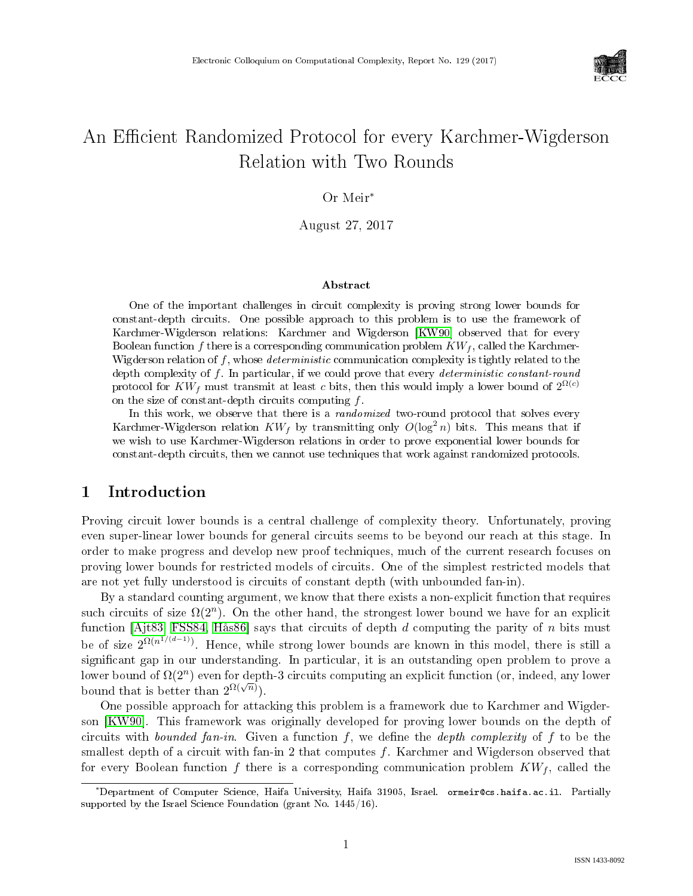

# An Efficient Randomized Protocol for every Karchmer-Wigderson Relation with Two Rounds

#### Or Meir<sup>∗</sup>

August 27, 2017

#### Abstract

One of the important challenges in circuit complexity is proving strong lower bounds for constant-depth circuits. One possible approach to this problem is to use the framework of Karchmer-Wigderson relations: Karchmer and Wigderson [\[KW90\]](#page--1-0) observed that for every Boolean function f there is a corresponding communication problem  $KW_f$ , called the Karchmer-Wigderson relation of  $f$ , whose *deterministic* communication complexity is tightly related to the depth complexity of f. In particular, if we could prove that every *deterministic constant-round* protocol for  $KW_f$  must transmit at least c bits, then this would imply a lower bound of  $2^{\Omega(c)}$ on the size of constant-depth circuits computing f.

In this work, we observe that there is a *randomized* two-round protocol that solves every Karchmer-Wigderson relation  $KW_f$  by transmitting only  $O(\log^2 n)$  bits. This means that if we wish to use Karchmer-Wigderson relations in order to prove exponential lower bounds for constant-depth circuits, then we cannot use techniques that work against randomized protocols.

# 1 Introduction

Proving circuit lower bounds is a central challenge of complexity theory. Unfortunately, proving even super-linear lower bounds for general circuits seems to be beyond our reach at this stage. In order to make progress and develop new proof techniques, much of the current research focuses on proving lower bounds for restricted models of circuits. One of the simplest restricted models that are not yet fully understood is circuits of constant depth (with unbounded fan-in).

By a standard counting argument, we know that there exists a non-explicit function that requires such circuits of size  $\Omega(2^n)$ . On the other hand, the strongest lower bound we have for an explicit function [\[Ajt83,](#page--1-1) [FSS84,](#page--1-2) [Hås86\]](#page--1-3) says that circuits of depth  $d$  computing the parity of  $n$  bits must be of size  $2^{\Omega(n^{1/(d-1)})}$ . Hence, while strong lower bounds are known in this model, there is still a significant gap in our understanding. In particular, it is an outstanding open problem to prove a lower bound of  $\Omega(2^n)$  even for depth-3 circuits computing an explicit function (or, indeed, any lower bound that is better than  $2^{\Omega(\sqrt{n})}$ ).

One possible approach for attacking this problem is a framework due to Karchmer and Wigderson [\[KW90\]](#page--1-0). This framework was originally developed for proving lower bounds on the depth of circuits with *bounded fan-in*. Given a function  $f$ , we define the *depth complexity* of  $f$  to be the smallest depth of a circuit with fan-in 2 that computes  $f$ . Karchmer and Wigderson observed that for every Boolean function f there is a corresponding communication problem  $KW<sub>f</sub>$ , called the

<sup>∗</sup>Department of Computer Science, Haifa University, Haifa 31905, Israel. ormeir@cs.haifa.ac.il. Partially supported by the Israel Science Foundation (grant No. 1445/16).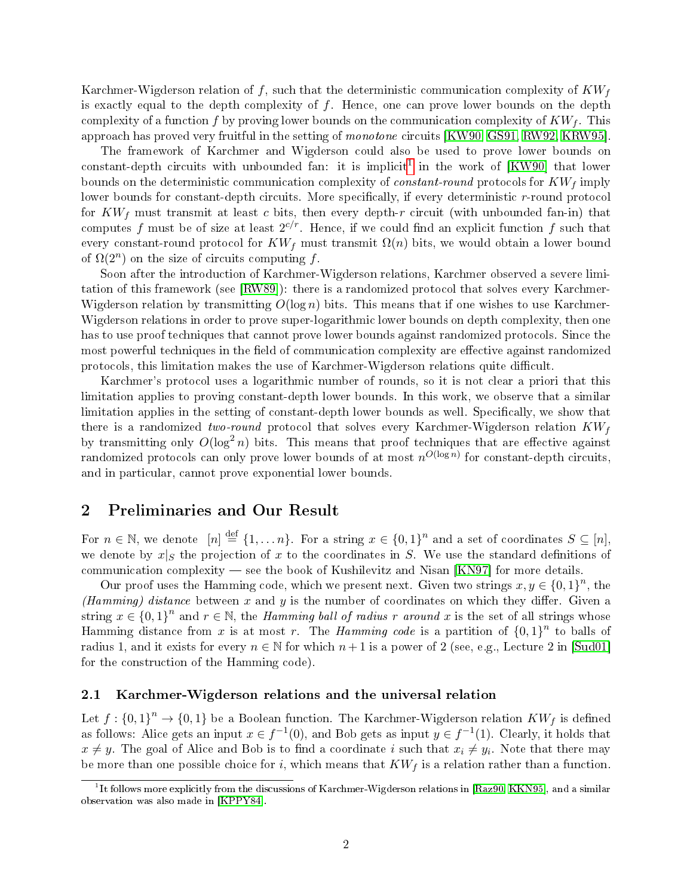Karchmer-Wigderson relation of f, such that the deterministic communication complexity of  $KW<sub>f</sub>$ is exactly equal to the depth complexity of  $f$ . Hence, one can prove lower bounds on the depth complexity of a function f by proving lower bounds on the communication complexity of  $KW_f$ . This approach has proved very fruitful in the setting of monotone circuits [\[KW90,](#page--1-0) [GS91,](#page-4-0) [RW92,](#page--1-4) [KRW95\]](#page--1-5).

The framework of Karchmer and Wigderson could also be used to prove lower bounds on constant-depth circuits with unbounded fan: it is implicit<sup>[1](#page-1-0)</sup> in the work of [\[KW90\]](#page--1-0) that lower bounds on the deterministic communication complexity of *constant-round* protocols for  $KW<sub>f</sub>$  imply lower bounds for constant-depth circuits. More specifically, if every deterministic  $r$ -round protocol for  $KW_f$  must transmit at least c bits, then every depth-r circuit (with unbounded fan-in) that computes f must be of size at least  $2^{c/r}$ . Hence, if we could find an explicit function f such that every constant-round protocol for  $KW_f$  must transmit  $\Omega(n)$  bits, we would obtain a lower bound of  $\Omega(2^n)$  on the size of circuits computing f.

Soon after the introduction of Karchmer-Wigderson relations, Karchmer observed a severe limitation of this framework (see [\[RW89\]](#page--1-6)): there is a randomized protocol that solves every Karchmer-Wigderson relation by transmitting  $O(\log n)$  bits. This means that if one wishes to use Karchmer-Wigderson relations in order to prove super-logarithmic lower bounds on depth complexity, then one has to use proof techniques that cannot prove lower bounds against randomized protocols. Since the most powerful techniques in the field of communication complexity are effective against randomized protocols, this limitation makes the use of Karchmer-Wigderson relations quite difficult.

Karchmer's protocol uses a logarithmic number of rounds, so it is not clear a priori that this limitation applies to proving constant-depth lower bounds. In this work, we observe that a similar limitation applies in the setting of constant-depth lower bounds as well. Specifically, we show that there is a randomized two-round protocol that solves every Karchmer-Wigderson relation  $KW_f$ by transmitting only  $O(\log^2 n)$  bits. This means that proof techniques that are effective against randomized protocols can only prove lower bounds of at most  $n^{O(\log n)}$  for constant-depth circuits, and in particular, cannot prove exponential lower bounds.

## 2 Preliminaries and Our Result

For  $n \in \mathbb{N}$ , we denote  $[n] \stackrel{\text{def}}{=} \{1, \ldots n\}$ . For a string  $x \in \{0,1\}^n$  and a set of coordinates  $S \subseteq [n]$ , we denote by  $x|_S$  the projection of x to the coordinates in S. We use the standard definitions of communication complexity  $-$  see the book of Kushilevitz and Nisan  $[KN97]$  for more details.

Our proof uses the Hamming code, which we present next. Given two strings  $x, y \in \{0,1\}^n$ , the (Hamming) distance between x and y is the number of coordinates on which they differ. Given a string  $x \in \{0,1\}^n$  and  $r \in \mathbb{N}$ , the *Hamming ball of radius r around* x is the set of all strings whose Hamming distance from x is at most r. The *Hamming code* is a partition of  ${0,1}^n$  to balls of radius 1, and it exists for every  $n \in \mathbb{N}$  for which  $n+1$  is a power of 2 (see, e.g., Lecture 2 in [\[Sud01\]](#page--1-8) for the construction of the Hamming code).

#### 2.1 Karchmer-Wigderson relations and the universal relation

Let  $f: \{0,1\}^n \to \{0,1\}$  be a Boolean function. The Karchmer-Wigderson relation  $KW_f$  is defined as follows: Alice gets an input  $x \in f^{-1}(0)$ , and Bob gets as input  $y \in f^{-1}(1)$ . Clearly, it holds that  $x \neq y$ . The goal of Alice and Bob is to find a coordinate  $i$  such that  $x_i \neq y_i$ . Note that there may be more than one possible choice for i, which means that  $KW_f$  is a relation rather than a function.

<span id="page-1-0"></span> $^1$ It follows more explicitly from the discussions of Karchmer-Wigderson relations in [\[Raz90,](#page--1-9) [KKN95\]](#page-4-1), and a similar observation was also made in [\[KPPY84\]](#page--1-10).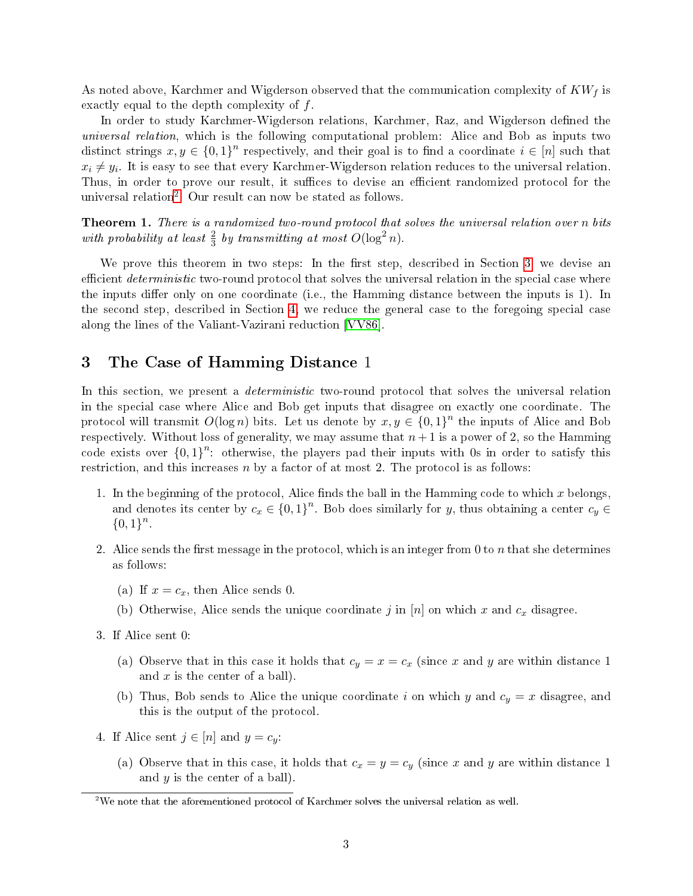As noted above, Karchmer and Wigderson observed that the communication complexity of  $KW<sub>f</sub>$  is exactly equal to the depth complexity of f.

In order to study Karchmer-Wigderson relations, Karchmer, Raz, and Wigderson defined the universal relation, which is the following computational problem: Alice and Bob as inputs two distinct strings  $x, y \in \{0,1\}^n$  respectively, and their goal is to find a coordinate  $i \in [n]$  such that  $x_i \neq y_i$ . It is easy to see that every Karchmer-Wigderson relation reduces to the universal relation. Thus, in order to prove our result, it suffices to devise an efficient randomized protocol for the universal relation[2](#page-2-0) . Our result can now be stated as follows.

<span id="page-2-2"></span>Theorem 1. There is a randomized two-round protocol that solves the universal relation over n bits with probability at least  $\frac{2}{3}$  by transmitting at most  $O(\log^2 n)$ .

We prove this theorem in two steps: In the first step, described in Section [3,](#page-2-1) we devise an efficient *deterministic* two-round protocol that solves the universal relation in the special case where the inputs differ only on one coordinate (i.e., the Hamming distance between the inputs is  $1$ ). In the second step, described in Section [4,](#page-3-0) we reduce the general case to the foregoing special case along the lines of the Valiant-Vazirani reduction [\[VV86\]](#page--1-11).

# <span id="page-2-1"></span>3 The Case of Hamming Distance 1

In this section, we present a *deterministic* two-round protocol that solves the universal relation in the special case where Alice and Bob get inputs that disagree on exactly one coordinate. The protocol will transmit  $O(\log n)$  bits. Let us denote by  $x, y \in \{0,1\}^n$  the inputs of Alice and Bob respectively. Without loss of generality, we may assume that  $n+1$  is a power of 2, so the Hamming code exists over  $\{0,1\}^n$  otherwise, the players pad their inputs with 0s in order to satisfy this restriction, and this increases  $n$  by a factor of at most 2. The protocol is as follows:

- 1. In the beginning of the protocol, Alice finds the ball in the Hamming code to which  $x$  belongs, and denotes its center by  $c_x \in \{0,1\}^n$ . Bob does similarly for y, thus obtaining a center  $c_y \in$  ${0,1}^n$ .
- 2. Alice sends the first message in the protocol, which is an integer from 0 to n that she determines as follows:
	- (a) If  $x = c_x$ , then Alice sends 0.
	- (b) Otherwise, Alice sends the unique coordinate j in  $[n]$  on which x and  $c_x$  disagree.
- 3. If Alice sent 0:
	- (a) Observe that in this case it holds that  $c_y = x = c_x$  (since x and y are within distance 1) and  $x$  is the center of a ball).
	- (b) Thus, Bob sends to Alice the unique coordinate i on which y and  $c_y = x$  disagree, and this is the output of the protocol.
- 4. If Alice sent  $j \in [n]$  and  $y = c_y$ :
	- (a) Observe that in this case, it holds that  $c_x = y = c_y$  (since x and y are within distance 1) and  $y$  is the center of a ball).

<span id="page-2-0"></span> $^2$ We note that the aforementioned protocol of Karchmer solves the universal relation as well.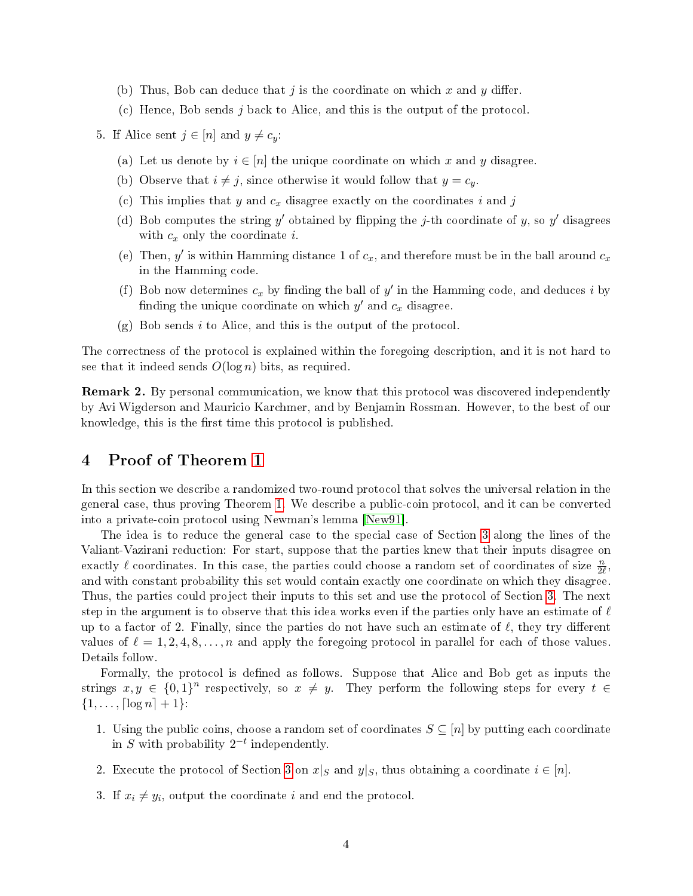- (b) Thus, Bob can deduce that j is the coordinate on which x and y differ.
- (c) Hence, Bob sends j back to Alice, and this is the output of the protocol
- 5. If Alice sent  $j \in [n]$  and  $y \neq c_y$ :
	- (a) Let us denote by  $i \in [n]$  the unique coordinate on which x and y disagree.
	- (b) Observe that  $i \neq j$ , since otherwise it would follow that  $y = c_y$ .
	- (c) This implies that  $y$  and  $c_x$  disagree exactly on the coordinates  $i$  and  $j$
	- (d) Bob computes the string y' obtained by flipping the j-th coordinate of y, so y' disagrees with  $c_x$  only the coordinate i.
	- (e) Then, y' is within Hamming distance 1 of  $c_x$ , and therefore must be in the ball around  $c_x$ in the Hamming code.
	- (f) Bob now determines  $c_x$  by finding the ball of  $y'$  in the Hamming code, and deduces i by finding the unique coordinate on which  $y'$  and  $c_x$  disagree.
	- $(g)$  Bob sends i to Alice, and this is the output of the protocol.

The correctness of the protocol is explained within the foregoing description, and it is not hard to see that it indeed sends  $O(\log n)$  bits, as required.

Remark 2. By personal communication, we know that this protocol was discovered independently by Avi Wigderson and Mauricio Karchmer, and by Benjamin Rossman. However, to the best of our knowledge, this is the first time this protocol is published.

# <span id="page-3-0"></span>4 Proof of Theorem [1](#page-2-2)

In this section we describe a randomized two-round protocol that solves the universal relation in the general case, thus proving Theorem [1.](#page-2-2) We describe a public-coin protocol, and it can be converted into a private-coin protocol using Newman's lemma [\[New91\]](#page--1-12).

The idea is to reduce the general case to the special case of Section [3](#page-2-1) along the lines of the Valiant-Vazirani reduction: For start, suppose that the parties knew that their inputs disagree on exactly  $\ell$  coordinates. In this case, the parties could choose a random set of coordinates of size  $\frac{n}{2\ell}$ , and with constant probability this set would contain exactly one coordinate on which they disagree. Thus, the parties could project their inputs to this set and use the protocol of Section [3.](#page-2-1) The next step in the argument is to observe that this idea works even if the parties only have an estimate of  $\ell$ up to a factor of 2. Finally, since the parties do not have such an estimate of  $\ell$ , they try different values of  $\ell = 1, 2, 4, 8, \ldots, n$  and apply the foregoing protocol in parallel for each of those values. Details follow.

Formally, the protocol is defined as follows. Suppose that Alice and Bob get as inputs the strings  $x, y \in \{0,1\}^n$  respectively, so  $x \neq y$ . They perform the following steps for every  $t \in$  $\{1, \ldots, \lceil \log n \rceil + 1\}$ :

- 1. Using the public coins, choose a random set of coordinates  $S \subseteq [n]$  by putting each coordinate in S with probability  $2^{-t}$  independently.
- 2. Execute the protocol of Section [3](#page-2-1) on  $x|_S$  and  $y|_S$ , thus obtaining a coordinate  $i \in [n]$ .
- 3. If  $x_i \neq y_i$ , output the coordinate i and end the protocol.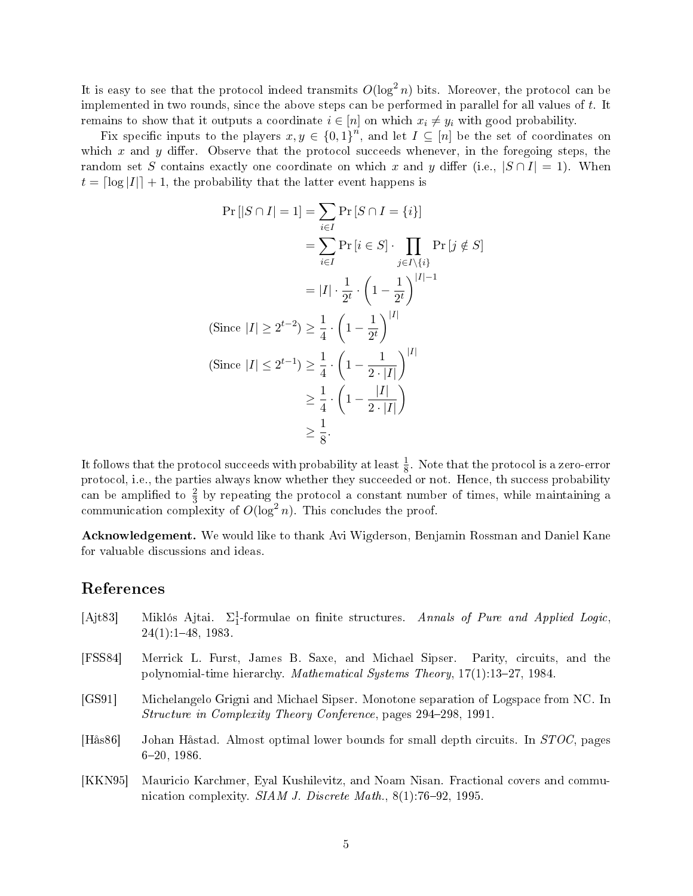It is easy to see that the protocol indeed transmits  $O(\log^2 n)$  bits. Moreover, the protocol can be implemented in two rounds, since the above steps can be performed in parallel for all values of t. It remains to show that it outputs a coordinate  $i \in [n]$  on which  $x_i \neq y_i$  with good probability.

Fix specific inputs to the players  $x, y \in \{0,1\}^n$ , and let  $I \subseteq [n]$  be the set of coordinates on which x and y differ. Observe that the protocol succeeds whenever, in the foregoing steps, the random set S contains exactly one coordinate on which x and y differ (i.e.,  $|S \cap I| = 1$ ). When  $t = \lfloor \log |I| \rfloor + 1$ , the probability that the latter event happens is

$$
\Pr[|S \cap I| = 1] = \sum_{i \in I} \Pr[S \cap I = \{i\}]
$$
  
\n
$$
= \sum_{i \in I} \Pr[i \in S] \cdot \prod_{j \in I \setminus \{i\}} \Pr[j \notin S]
$$
  
\n
$$
= |I| \cdot \frac{1}{2^t} \cdot \left(1 - \frac{1}{2^t}\right)^{|I|-1}
$$
  
\n(Since  $|I| \ge 2^{t-2} \ge \frac{1}{4} \cdot \left(1 - \frac{1}{2^t}\right)^{|I|}$   
\n(Since  $|I| \le 2^{t-1} \ge \frac{1}{4} \cdot \left(1 - \frac{1}{2 \cdot |I|}\right)^{|I|}$   
\n
$$
\ge \frac{1}{4} \cdot \left(1 - \frac{|I|}{2 \cdot |I|}\right)
$$
  
\n
$$
\ge \frac{1}{8}.
$$

It follows that the protocol succeeds with probability at least  $\frac{1}{8}$ . Note that the protocol is a zero-error protocol, i.e., the parties always know whether they succeeded or not. Hence, th success probability can be amplified to  $\frac{2}{3}$  by repeating the protocol a constant number of times, while maintaining a communication complexity of  $O(\log^2 n)$ . This concludes the proof.

Acknowledgement. We would like to thank Avi Wigderson, Benjamin Rossman and Daniel Kane for valuable discussions and ideas.

## References

- <span id="page-4-0"></span>[Ajt83] Miklós Ajtai.  $\Sigma^1_1$ -formulae on finite structures. Annals of Pure and Applied Logic,  $24(1)$ :  $1-48$ , 1983. [FSS84] Merrick L. Furst, James B. Saxe, and Michael Sipser. Parity, circuits, and the polynomial-time hierarchy. Mathematical Systems Theory,  $17(1):13-27$ , 1984. [GS91] Michelangelo Grigni and Michael Sipser. Monotone separation of Logspace from NC. In Structure in Complexity Theory Conference, pages 294-298, 1991. [Hås86] Johan Håstad. Almost optimal lower bounds for small depth circuits. In STOC, pages  $6\text{--}20$ , 198 $6$ .
- <span id="page-4-1"></span>[KKN95] Mauricio Karchmer, Eyal Kushilevitz, and Noam Nisan. Fractional covers and communication complexity. SIAM J. Discrete Math.,  $8(1)$ :76-92, 1995.